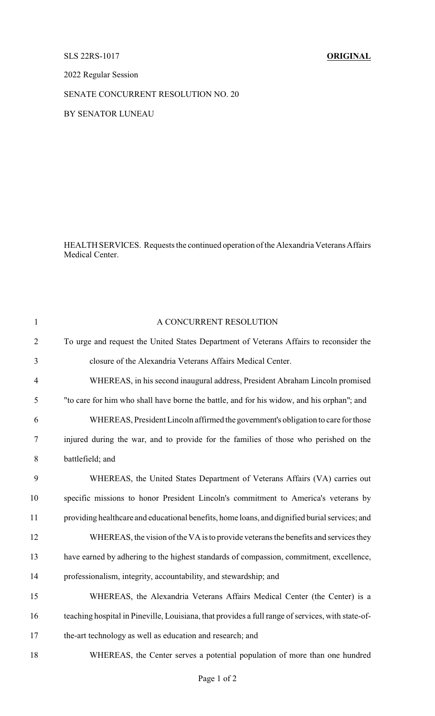## SLS 22RS-1017 **ORIGINAL**

2022 Regular Session

## SENATE CONCURRENT RESOLUTION NO. 20

BY SENATOR LUNEAU

HEALTH SERVICES. Requests the continued operation of the Alexandria Veterans Affairs Medical Center.

| $\mathbf{1}$   | A CONCURRENT RESOLUTION                                                                           |
|----------------|---------------------------------------------------------------------------------------------------|
| $\overline{2}$ | To urge and request the United States Department of Veterans Affairs to reconsider the            |
| 3              | closure of the Alexandria Veterans Affairs Medical Center.                                        |
| $\overline{4}$ | WHEREAS, in his second inaugural address, President Abraham Lincoln promised                      |
| 5              | "to care for him who shall have borne the battle, and for his widow, and his orphan"; and         |
| 6              | WHEREAS, President Lincoln affirmed the government's obligation to care for those                 |
| 7              | injured during the war, and to provide for the families of those who perished on the              |
| 8              | battlefield; and                                                                                  |
| 9              | WHEREAS, the United States Department of Veterans Affairs (VA) carries out                        |
| 10             | specific missions to honor President Lincoln's commitment to America's veterans by                |
| 11             | providing healthcare and educational benefits, home loans, and dignified burial services; and     |
| 12             | WHEREAS, the vision of the VA is to provide veterans the benefits and services they               |
| 13             | have earned by adhering to the highest standards of compassion, commitment, excellence,           |
| 14             | professionalism, integrity, accountability, and stewardship; and                                  |
| 15             | WHEREAS, the Alexandria Veterans Affairs Medical Center (the Center) is a                         |
| 16             | teaching hospital in Pineville, Louisiana, that provides a full range of services, with state-of- |
| 17             | the-art technology as well as education and research; and                                         |
| 18             | WHEREAS, the Center serves a potential population of more than one hundred                        |
|                |                                                                                                   |